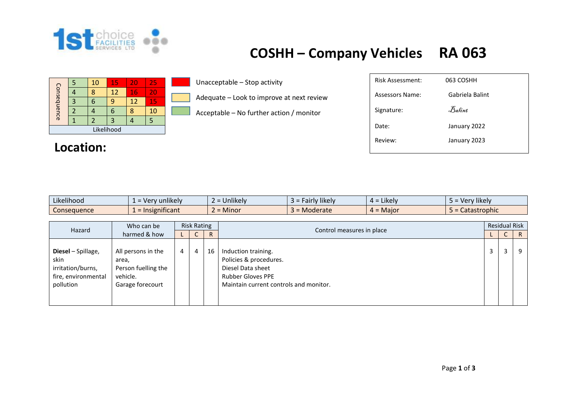

## **COSHH – Company Vehicles RA 063**

|             |  | 10 | 15 | 20 | 25 |  |  |  |  |
|-------------|--|----|----|----|----|--|--|--|--|
| Consequence |  |    | 12 | 16 | 20 |  |  |  |  |
|             |  |    | q  |    | 15 |  |  |  |  |
|             |  |    | h  |    | 10 |  |  |  |  |
|             |  |    |    |    |    |  |  |  |  |
| Likelihood  |  |    |    |    |    |  |  |  |  |

## **Location:**

Unacceptable – Stop activity

Adequate – Look to improve at next review

Acceptable – No further action / monitor

| Risk Assessment: | 063 COSHH       |
|------------------|-----------------|
| Assessors Name:  | Gabriela Balint |
| Signature:       | Balint          |
| Date:            | January 2022    |
| Review:          | January 2023    |
|                  |                 |

| Likelihood         | zunlikely     | .                                             | .              | .                             | <b>Hikely</b>     |
|--------------------|---------------|-----------------------------------------------|----------------|-------------------------------|-------------------|
| .                  | Very          | : = Unlikelv                                  | Fairly likely. | $4 =$ Likely                  | 10rn              |
| <b>Consequence</b> | Insignificant | <b>A</b> $A$ <sup>+</sup><br>$\angle$ = Minor | Moderate       | Major<br>$\sim$<br><b>4 =</b> | Catastrophic<br>- |

| Who can be<br>Hazard                                                                |                                                                                    | <b>Risk Rating</b> |   |    |                                                                                                                                          | <b>Residual Risk</b> |   |              |  |
|-------------------------------------------------------------------------------------|------------------------------------------------------------------------------------|--------------------|---|----|------------------------------------------------------------------------------------------------------------------------------------------|----------------------|---|--------------|--|
|                                                                                     | harmed & how                                                                       |                    | U | R  | Control measures in place                                                                                                                |                      | U | $\mathsf{R}$ |  |
| Diesel - Spillage,<br>skin<br>irritation/burns,<br>fire, environmental<br>pollution | All persons in the<br>area,<br>Person fuelling the<br>vehicle.<br>Garage forecourt | 4                  | 4 | 16 | Induction training.<br>Policies & procedures.<br>Diesel Data sheet<br><b>Rubber Gloves PPE</b><br>Maintain current controls and monitor. | 3                    | 3 | q            |  |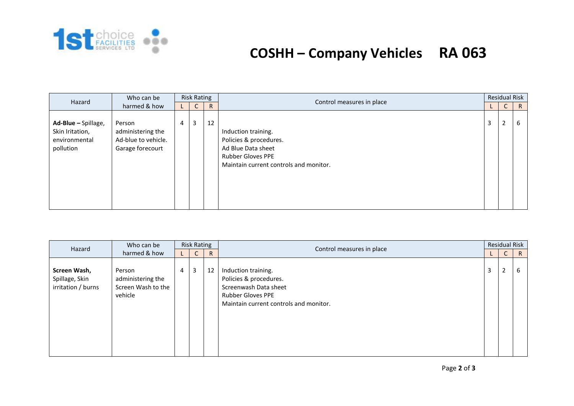

## **COSHH – Company Vehicles RA 063**

| Hazard                                                               | Who can be                                                             |                | <b>Risk Rating</b> |              |                                                                                                                                           |                | <b>Residual Risk</b> |              |
|----------------------------------------------------------------------|------------------------------------------------------------------------|----------------|--------------------|--------------|-------------------------------------------------------------------------------------------------------------------------------------------|----------------|----------------------|--------------|
|                                                                      | harmed & how                                                           |                | U                  | $\mathsf{R}$ | Control measures in place                                                                                                                 |                | $\mathsf{C}$         | $\mathsf{R}$ |
| Ad-Blue - Spillage,<br>Skin Iritation,<br>environmental<br>pollution | Person<br>administering the<br>Ad-blue to vehicle.<br>Garage forecourt | $\overline{4}$ | 3                  | 12           | Induction training.<br>Policies & procedures.<br>Ad Blue Data sheet<br><b>Rubber Gloves PPE</b><br>Maintain current controls and monitor. | $\overline{3}$ | $\overline{2}$       | 6            |

| Who can be<br>Hazard<br>harmed & how                 |                                                              | <b>Risk Rating</b> |   |              |                                                                                                                                              |                | <b>Residual Risk</b> |              |
|------------------------------------------------------|--------------------------------------------------------------|--------------------|---|--------------|----------------------------------------------------------------------------------------------------------------------------------------------|----------------|----------------------|--------------|
|                                                      |                                                              |                    | U | $\mathsf{R}$ | Control measures in place                                                                                                                    |                | ◡                    | $\mathsf{R}$ |
| Screen Wash,<br>Spillage, Skin<br>irritation / burns | Person<br>administering the<br>Screen Wash to the<br>vehicle | $\overline{4}$     | 3 | 12           | Induction training.<br>Policies & procedures.<br>Screenwash Data sheet<br><b>Rubber Gloves PPE</b><br>Maintain current controls and monitor. | $\overline{3}$ | $\overline{2}$       | b            |